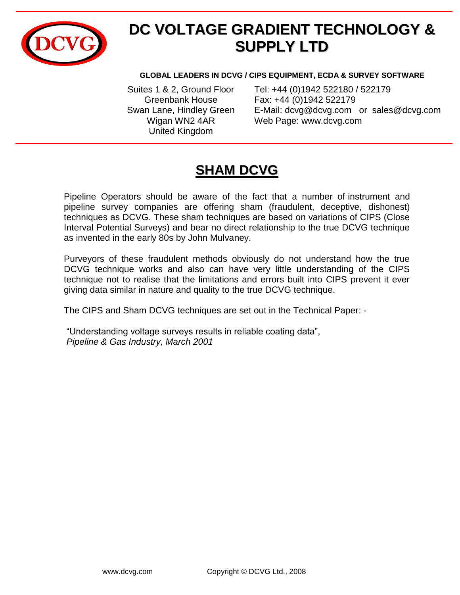

# **DC VOLTAGE GRADIENT TECHNOLOGY & SUPPLY LTD**

#### **GLOBAL LEADERS IN DCVG / CIPS EQUIPMENT, ECDA & SURVEY SOFTWARE**

United Kingdom

Suites 1 & 2, Ground Floor Tel: +44 (0)1942 522180 / 522179 Greenbank House Fax: +44 (0)1942 522179 Swan Lane, Hindley Green E-Mail: [dcvg@dcvg.com](mailto:dcvg@dcvg.com) or sales@dcvg.com Wigan WN2 4AR Web Page: www.dcvg.com

### **SHAM DCVG**

Pipeline Operators should be aware of the fact that a number of instrument and pipeline survey companies are offering sham (fraudulent, deceptive, dishonest) techniques as DCVG. These sham techniques are based on variations of CIPS (Close Interval Potential Surveys) and bear no direct relationship to the true DCVG technique as invented in the early 80s by John Mulvaney.

Purveyors of these fraudulent methods obviously do not understand how the true DCVG technique works and also can have very little understanding of the CIPS technique not to realise that the limitations and errors built into CIPS prevent it ever giving data similar in nature and quality to the true DCVG technique.

The CIPS and Sham DCVG techniques are set out in the Technical Paper: -

"Understanding voltage surveys results in reliable coating data", *Pipeline & Gas Industry, March 2001*